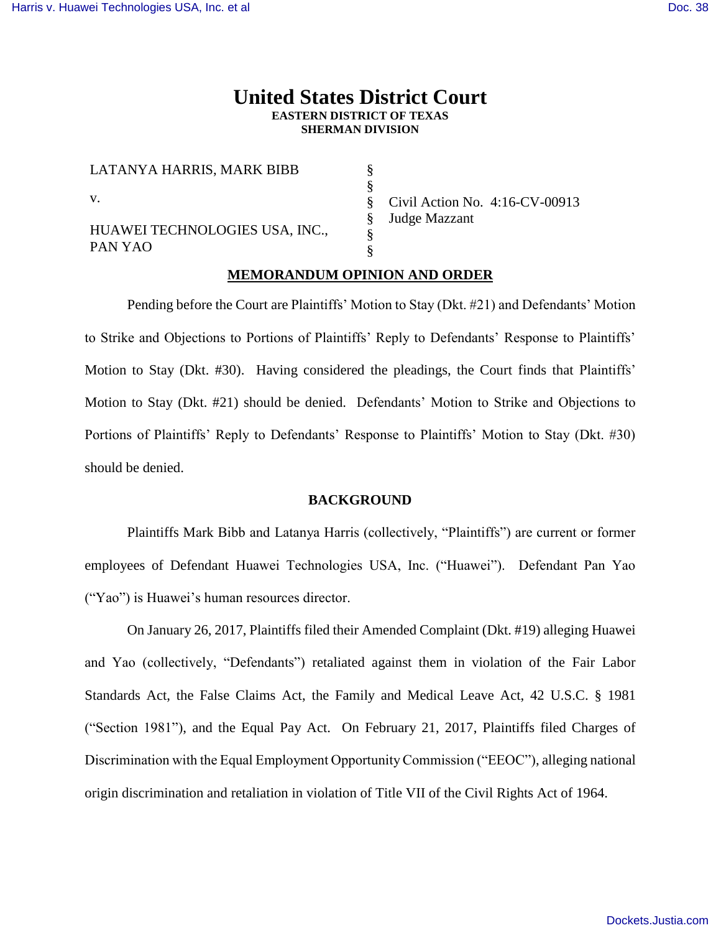# **United States District Court EASTERN DISTRICT OF TEXAS SHERMAN DIVISION**

§ § § § § §

| LATANYA HARRIS, MARK BIBB                 |
|-------------------------------------------|
| $\mathbf{V}$ .                            |
| HUAWEI TECHNOLOGIES USA, INC.,<br>PAN YAO |

Civil Action No. 4:16-CV-00913 Judge Mazzant

## **MEMORANDUM OPINION AND ORDER**

Pending before the Court are Plaintiffs' Motion to Stay (Dkt. #21) and Defendants' Motion to Strike and Objections to Portions of Plaintiffs' Reply to Defendants' Response to Plaintiffs' Motion to Stay (Dkt. #30). Having considered the pleadings, the Court finds that Plaintiffs' Motion to Stay (Dkt. #21) should be denied. Defendants' Motion to Strike and Objections to Portions of Plaintiffs' Reply to Defendants' Response to Plaintiffs' Motion to Stay (Dkt. #30) should be denied.

#### **BACKGROUND**

Plaintiffs Mark Bibb and Latanya Harris (collectively, "Plaintiffs") are current or former employees of Defendant Huawei Technologies USA, Inc. ("Huawei"). Defendant Pan Yao ("Yao") is Huawei's human resources director.

On January 26, 2017, Plaintiffs filed their Amended Complaint (Dkt. #19) alleging Huawei and Yao (collectively, "Defendants") retaliated against them in violation of the Fair Labor Standards Act, the False Claims Act, the Family and Medical Leave Act, 42 U.S.C. § 1981 ("Section 1981"), and the Equal Pay Act. On February 21, 2017, Plaintiffs filed Charges of Discrimination with the Equal Employment Opportunity Commission ("EEOC"), alleging national origin discrimination and retaliation in violation of Title VII of the Civil Rights Act of 1964.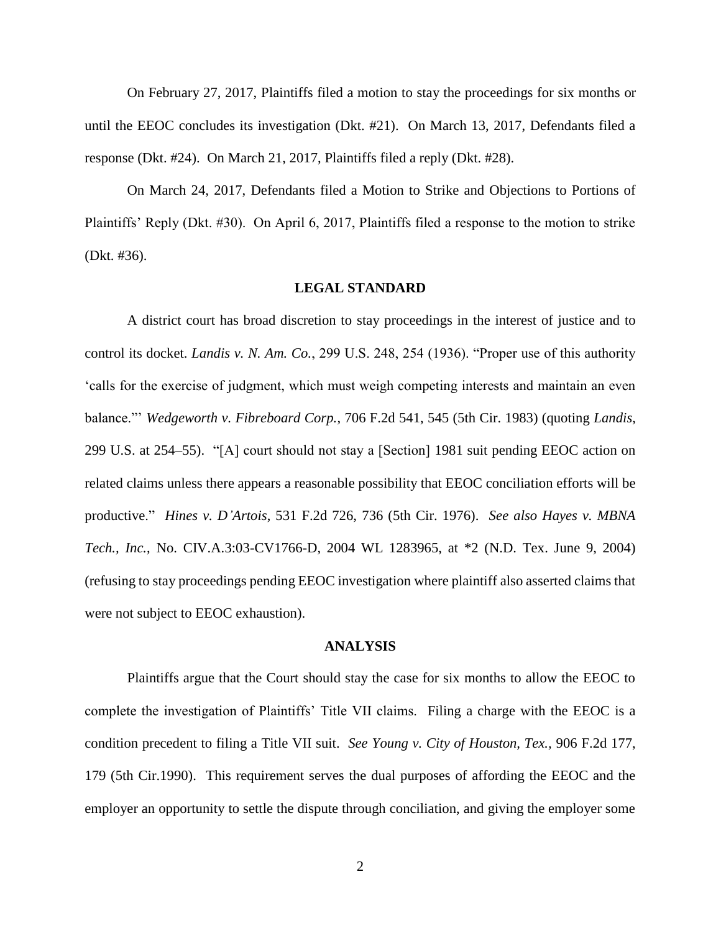On February 27, 2017, Plaintiffs filed a motion to stay the proceedings for six months or until the EEOC concludes its investigation (Dkt. #21). On March 13, 2017, Defendants filed a response (Dkt. #24). On March 21, 2017, Plaintiffs filed a reply (Dkt. #28).

On March 24, 2017, Defendants filed a Motion to Strike and Objections to Portions of Plaintiffs' Reply (Dkt. #30). On April 6, 2017, Plaintiffs filed a response to the motion to strike (Dkt. #36).

#### **LEGAL STANDARD**

A district court has broad discretion to stay proceedings in the interest of justice and to control its docket. *Landis v. N. Am. Co.*, 299 U.S. 248, 254 (1936). "Proper use of this authority 'calls for the exercise of judgment, which must weigh competing interests and maintain an even balance."' *Wedgeworth v. Fibreboard Corp.*, 706 F.2d 541, 545 (5th Cir. 1983) (quoting *Landis*, 299 U.S. at 254–55). "[A] court should not stay a [Section] 1981 suit pending EEOC action on related claims unless there appears a reasonable possibility that EEOC conciliation efforts will be productive." *Hines v. D'Artois*, 531 F.2d 726, 736 (5th Cir. 1976). *See also Hayes v. MBNA Tech., Inc.*, No. CIV.A.3:03-CV1766-D, 2004 WL 1283965, at \*2 (N.D. Tex. June 9, 2004) (refusing to stay proceedings pending EEOC investigation where plaintiff also asserted claims that were not subject to EEOC exhaustion).

#### **ANALYSIS**

Plaintiffs argue that the Court should stay the case for six months to allow the EEOC to complete the investigation of Plaintiffs' Title VII claims. Filing a charge with the EEOC is a condition precedent to filing a Title VII suit. *See Young v. City of Houston, Tex.,* 906 F.2d 177, 179 (5th Cir.1990). This requirement serves the dual purposes of affording the EEOC and the employer an opportunity to settle the dispute through conciliation, and giving the employer some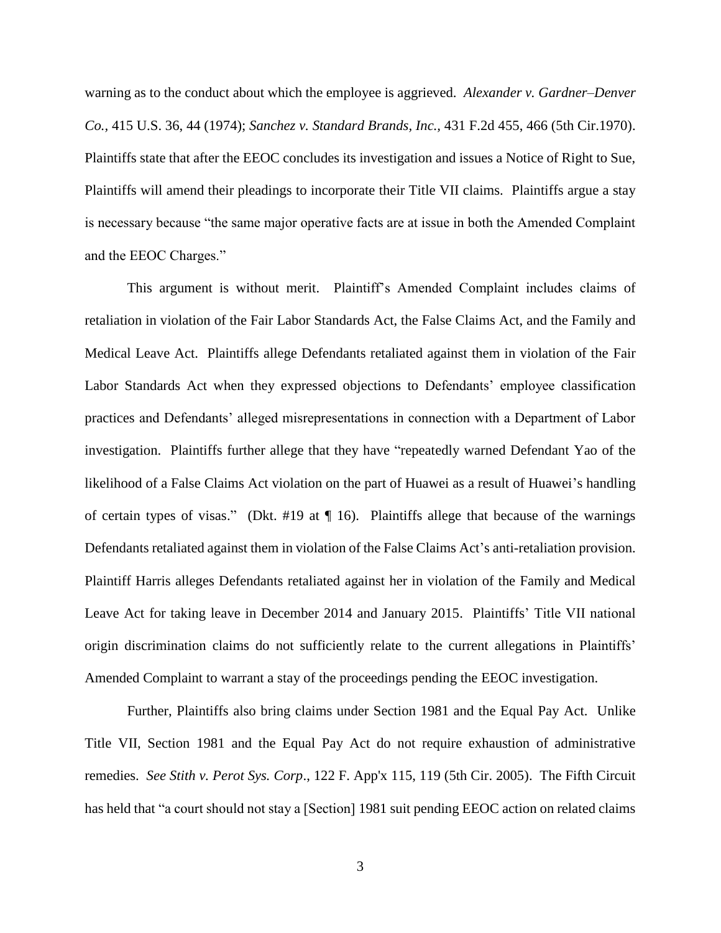warning as to the conduct about which the employee is aggrieved. *Alexander v. Gardner–Denver Co.,* 415 U.S. 36, 44 (1974); *[Sanchez v. Standard Brands, Inc.,](https://1.next.westlaw.com/Link/Document/FullText?findType=Y&serNum=1970119977&pubNum=350&originatingDoc=I3647d9c6542211d997e0acd5cbb90d3f&refType=RP&fi=co_pp_sp_350_466&originationContext=document&transitionType=DocumentItem&contextData=(sc.History*oc.Default)#co_pp_sp_350_466)* 431 F.2d 455, 466 (5th Cir.1970). Plaintiffs state that after the EEOC concludes its investigation and issues a Notice of Right to Sue, Plaintiffs will amend their pleadings to incorporate their Title VII claims. Plaintiffs argue a stay is necessary because "the same major operative facts are at issue in both the Amended Complaint and the EEOC Charges."

This argument is without merit. Plaintiff's Amended Complaint includes claims of retaliation in violation of the Fair Labor Standards Act, the False Claims Act, and the Family and Medical Leave Act. Plaintiffs allege Defendants retaliated against them in violation of the Fair Labor Standards Act when they expressed objections to Defendants' employee classification practices and Defendants' alleged misrepresentations in connection with a Department of Labor investigation. Plaintiffs further allege that they have "repeatedly warned Defendant Yao of the likelihood of a False Claims Act violation on the part of Huawei as a result of Huawei's handling of certain types of visas." (Dkt. #19 at  $\P$  16). Plaintiffs allege that because of the warnings Defendants retaliated against them in violation of the False Claims Act's anti-retaliation provision. Plaintiff Harris alleges Defendants retaliated against her in violation of the Family and Medical Leave Act for taking leave in December 2014 and January 2015. Plaintiffs' Title VII national origin discrimination claims do not sufficiently relate to the current allegations in Plaintiffs' Amended Complaint to warrant a stay of the proceedings pending the EEOC investigation.

Further, Plaintiffs also bring claims under Section 1981 and the Equal Pay Act. Unlike Title VII, Section 1981 and the Equal Pay Act do not require exhaustion of administrative remedies. *See Stith v. Perot Sys. Corp*., 122 F. App'x 115, 119 (5th Cir. 2005). The Fifth Circuit has held that "a court should not stay a [Section] 1981 suit pending EEOC action on related claims